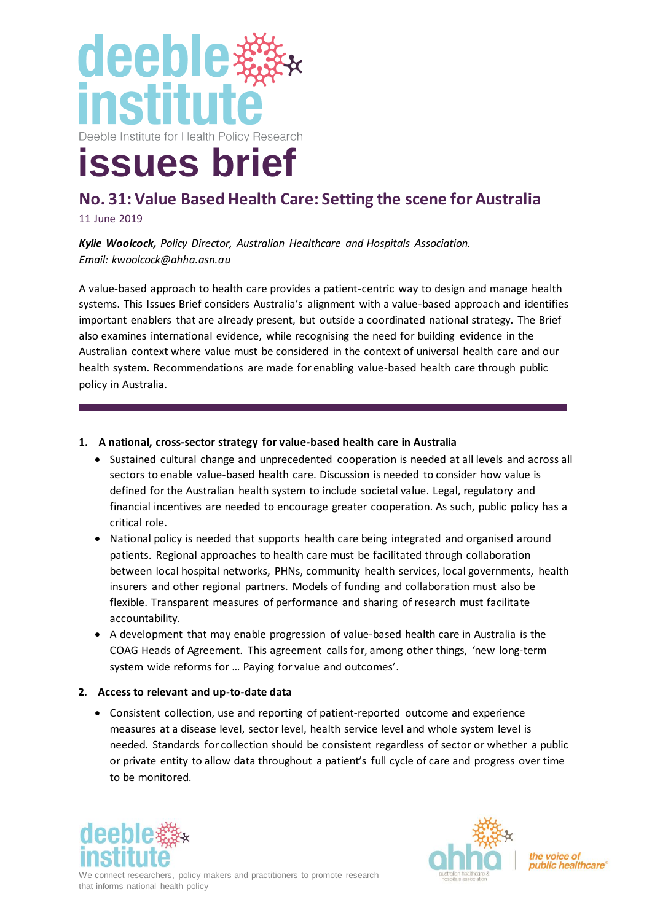

# **No. 31: Value Based Health Care: Setting the scene for Australia**

11 June 2019

*Kylie Woolcock, Policy Director, Australian Healthcare and Hospitals Association. Email: kwoolcock@ahha.asn.au*

A value-based approach to health care provides a patient-centric way to design and manage health systems. This Issues Brief considers Australia's alignment with a value-based approach and identifies important enablers that are already present, but outside a coordinated national strategy. The Brief also examines international evidence, while recognising the need for building evidence in the Australian context where value must be considered in the context of universal health care and our health system. Recommendations are made for enabling value-based health care through public policy in Australia.

#### **1. A national, cross-sector strategy for value-based health care in Australia**

- Sustained cultural change and unprecedented cooperation is needed at all levels and across all sectors to enable value-based health care. Discussion is needed to consider how value is defined for the Australian health system to include societal value. Legal, regulatory and financial incentives are needed to encourage greater cooperation. As such, public policy has a critical role.
- National policy is needed that supports health care being integrated and organised around patients. Regional approaches to health care must be facilitated through collaboration between local hospital networks, PHNs, community health services, local governments, health insurers and other regional partners. Models of funding and collaboration must also be flexible. Transparent measures of performance and sharing of research must facilitate accountability.
- A development that may enable progression of value-based health care in Australia is the COAG Heads of Agreement. This agreement calls for, among other things, 'new long-term system wide reforms for … Paying for value and outcomes'.

#### **2. Access to relevant and up-to-date data**

• Consistent collection, use and reporting of patient-reported outcome and experience measures at a disease level, sector level, health service level and whole system level is needed. Standards for collection should be consistent regardless of sector or whether a public or private entity to allow data throughout a patient's full cycle of care and progress over time to be monitored.





the voice of public healthcare®